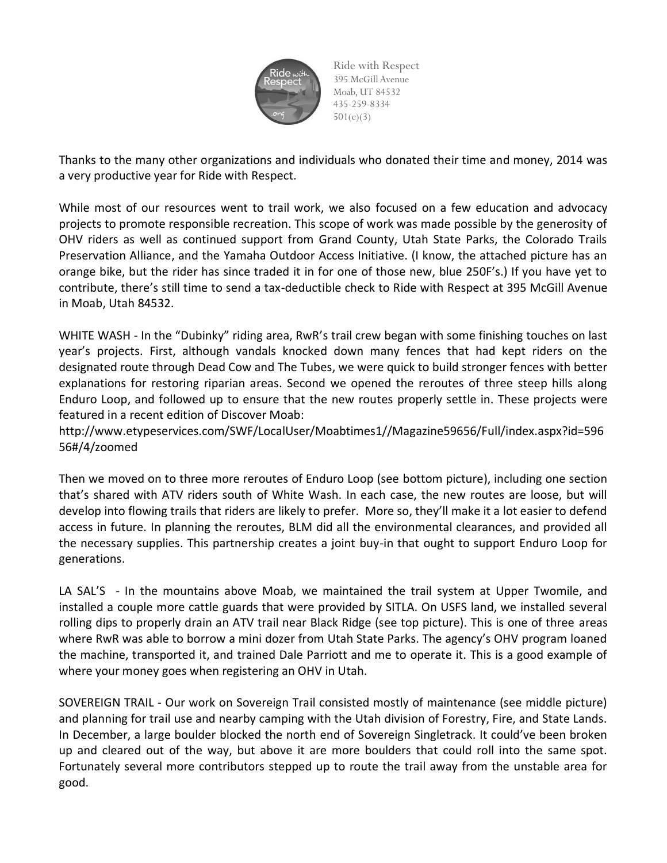

Ride with Respect 395 McGill Avenue Moab, UT 84532 435-259-8334  $501(c)(3)$ 

Thanks to the many other organizations and individuals who donated their time and money, 2014 was a very productive year for Ride with Respect.

While most of our resources went to trail work, we also focused on a few education and advocacy projects to promote responsible recreation. This scope of work was made possible by the generosity of OHV riders as well as continued support from Grand County, Utah State Parks, the Colorado Trails Preservation Alliance, and the Yamaha Outdoor Access Initiative. (I know, the attached picture has an orange bike, but the rider has since traded it in for one of those new, blue 250F's.) If you have yet to contribute, there's still time to send a tax-deductible check to Ride with Respect at 395 McGill Avenue in Moab, Utah 84532.

WHITE WASH - In the "Dubinky" riding area, RwR's trail crew began with some finishing touches on last year's projects. First, although vandals knocked down many fences that had kept riders on the designated route through Dead Cow and The Tubes, we were quick to build stronger fences with better explanations for restoring riparian areas. Second we opened the reroutes of three steep hills along Enduro Loop, and followed up to ensure that the new routes properly settle in. These projects were featured in a recent edition of Discover Moab:

http://www.etypeservices.com/SWF/LocalUser/Moabtimes1//Magazine59656/Full/index.aspx?id=596 56#/4/zoomed

Then we moved on to three more reroutes of Enduro Loop (see bottom picture), including one section that's shared with ATV riders south of White Wash. In each case, the new routes are loose, but will develop into flowing trails that riders are likely to prefer. More so, they'll make it a lot easier to defend access in future. In planning the reroutes, BLM did all the environmental clearances, and provided all the necessary supplies. This partnership creates a joint buy-in that ought to support Enduro Loop for generations.

LA SAL'S - In the mountains above Moab, we maintained the trail system at Upper Twomile, and installed a couple more cattle guards that were provided by SITLA. On USFS land, we installed several rolling dips to properly drain an ATV trail near Black Ridge (see top picture). This is one of three areas where RwR was able to borrow a mini dozer from Utah State Parks. The agency's OHV program loaned the machine, transported it, and trained Dale Parriott and me to operate it. This is a good example of where your money goes when registering an OHV in Utah.

SOVEREIGN TRAIL - Our work on Sovereign Trail consisted mostly of maintenance (see middle picture) and planning for trail use and nearby camping with the Utah division of Forestry, Fire, and State Lands. In December, a large boulder blocked the north end of Sovereign Singletrack. It could've been broken up and cleared out of the way, but above it are more boulders that could roll into the same spot. Fortunately several more contributors stepped up to route the trail away from the unstable area for good.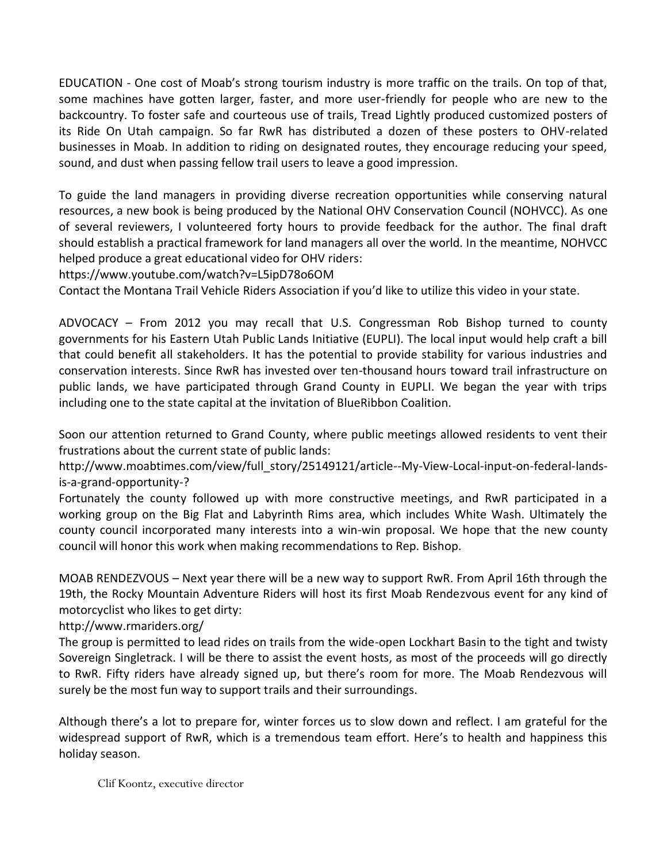EDUCATION - One cost of Moab's strong tourism industry is more traffic on the trails. On top of that, some machines have gotten larger, faster, and more user-friendly for people who are new to the backcountry. To foster safe and courteous use of trails, Tread Lightly produced customized posters of its Ride On Utah campaign. So far RwR has distributed a dozen of these posters to OHV-related businesses in Moab. In addition to riding on designated routes, they encourage reducing your speed, sound, and dust when passing fellow trail users to leave a good impression.

To guide the land managers in providing diverse recreation opportunities while conserving natural resources, a new book is being produced by the National OHV Conservation Council (NOHVCC). As one of several reviewers, I volunteered forty hours to provide feedback for the author. The final draft should establish a practical framework for land managers all over the world. In the meantime, NOHVCC helped produce a great educational video for OHV riders:

https://www.youtube.com/watch?v=L5ipD78o6OM

Contact the Montana Trail Vehicle Riders Association if you'd like to utilize this video in your state.

ADVOCACY – From 2012 you may recall that U.S. Congressman Rob Bishop turned to county governments for his Eastern Utah Public Lands Initiative (EUPLI). The local input would help craft a bill that could benefit all stakeholders. It has the potential to provide stability for various industries and conservation interests. Since RwR has invested over ten-thousand hours toward trail infrastructure on public lands, we have participated through Grand County in EUPLI. We began the year with trips including one to the state capital at the invitation of BlueRibbon Coalition.

Soon our attention returned to Grand County, where public meetings allowed residents to vent their frustrations about the current state of public lands:

http://www.moabtimes.com/view/full\_story/25149121/article--My-View-Local-input-on-federal-landsis-a-grand-opportunity-?

Fortunately the county followed up with more constructive meetings, and RwR participated in a working group on the Big Flat and Labyrinth Rims area, which includes White Wash. Ultimately the county council incorporated many interests into a win-win proposal. We hope that the new county council will honor this work when making recommendations to Rep. Bishop.

MOAB RENDEZVOUS – Next year there will be a new way to support RwR. From April 16th through the 19th, the Rocky Mountain Adventure Riders will host its first Moab Rendezvous event for any kind of motorcyclist who likes to get dirty:

http://www.rmariders.org/

The group is permitted to lead rides on trails from the wide-open Lockhart Basin to the tight and twisty Sovereign Singletrack. I will be there to assist the event hosts, as most of the proceeds will go directly to RwR. Fifty riders have already signed up, but there's room for more. The Moab Rendezvous will surely be the most fun way to support trails and their surroundings.

Although there's a lot to prepare for, winter forces us to slow down and reflect. I am grateful for the widespread support of RwR, which is a tremendous team effort. Here's to health and happiness this holiday season.

Clif Koontz, executive director